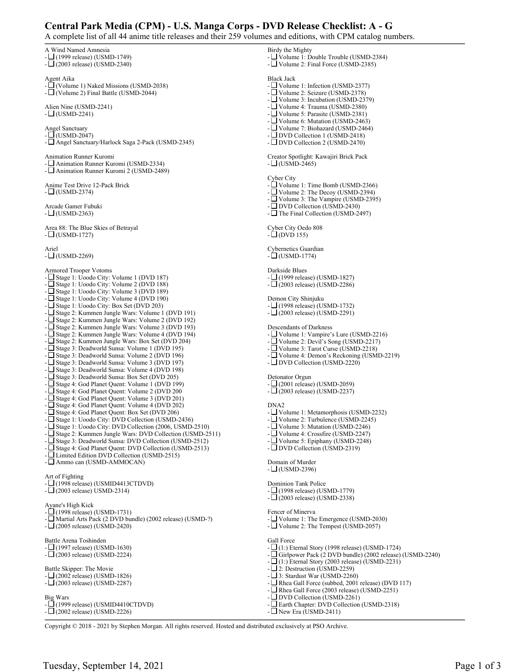## **Central Park Media (CPM) - U.S. Manga Corps - DVD Release Checklist: A - G**

| A complete list of all 44 anime title releases and their 259 volumes and editions, with CPM catalog numb                                                                                                                                                                                                                                                                                                                                                            |                                                                                                                                                                                                                                                                                                                                                                            |
|---------------------------------------------------------------------------------------------------------------------------------------------------------------------------------------------------------------------------------------------------------------------------------------------------------------------------------------------------------------------------------------------------------------------------------------------------------------------|----------------------------------------------------------------------------------------------------------------------------------------------------------------------------------------------------------------------------------------------------------------------------------------------------------------------------------------------------------------------------|
| A Wind Named Amnesia<br>$-\Box$ (1999 release) (USMD-1749)<br>$-L$ (2003 release) (USMD-2340)                                                                                                                                                                                                                                                                                                                                                                       | Birdy the Mighty<br>- $\Box$ Volume 1: Double Trouble (USMD-2384)<br>- $\Box$ Volume 2: Final Force (USMD-2385)                                                                                                                                                                                                                                                            |
| Agent Aika<br>- $\Box$ (Volume 1) Naked Missions (USMD-2038)<br>- $\Box$ (Volume 2) Final Battle (USMD-2044)                                                                                                                                                                                                                                                                                                                                                        | <b>Black Jack</b><br>- Volume 1: Infection (USMD-2377)<br>- Volume 2: Seizure (USMD-2378)<br>- $\Box$ Volume 3: Incubation (USMD-2379)<br>- $\Box$ Volume 4: Trauma (USMD-2380)<br>- $\Box$ Volume 5: Parasite (USMD-2381)<br>- $\Box$ Volume 6: Mutation (USMD-2463)                                                                                                      |
| Alien Nine (USMD-2241)<br>$-\Box$ (USMD-2241)                                                                                                                                                                                                                                                                                                                                                                                                                       |                                                                                                                                                                                                                                                                                                                                                                            |
| <b>Angel Sanctuary</b><br>$-L$ (USMD-2047)<br>- Angel Sanctuary/Harlock Saga 2-Pack (USMD-2345)                                                                                                                                                                                                                                                                                                                                                                     | - $\Box$ Volume 7: Biohazard (USMD-2464)<br>- DVD Collection 1 (USMD-2418)<br>- $\Box$ DVD Collection 2 (USMD-2470)                                                                                                                                                                                                                                                        |
| Animation Runner Kuromi<br>- Animation Runner Kuromi (USMD-2334)<br>- □ Animation Runner Kuromi 2 (USMD-2489)                                                                                                                                                                                                                                                                                                                                                       | Creator Spotlight: Kawajiri Brick Pack<br>$-L$ (USMD-2465)                                                                                                                                                                                                                                                                                                                 |
| Anime Test Drive 12-Pack Brick<br>$-L$ (USMD-2374)                                                                                                                                                                                                                                                                                                                                                                                                                  | Cyber City<br>- $\Box$ Volume 1: Time Bomb (USMD-2366)<br>- $\Box$ Volume 2: The Decoy (USMD-2394)                                                                                                                                                                                                                                                                         |
| Arcade Gamer Fubuki<br>$-\Box$ (USMD-2363)                                                                                                                                                                                                                                                                                                                                                                                                                          | - $\Box$ Volume 3: The Vampire (USMD-2395)<br>- $\Box$ DVD Collection (USMD-2430)<br>- $\Box$ The Final Collection (USMD-2497)                                                                                                                                                                                                                                             |
| Area 88: The Blue Skies of Betrayal<br>$-\Box$ (USMD-1727)                                                                                                                                                                                                                                                                                                                                                                                                          | Cyber City Oedo 808<br>$-\Box$ (DVD 155)                                                                                                                                                                                                                                                                                                                                   |
| Ariel<br>$-\Box$ (USMD-2269)                                                                                                                                                                                                                                                                                                                                                                                                                                        | Cybernetics Guardian<br>$-\Box$ (USMD-1774)                                                                                                                                                                                                                                                                                                                                |
| <b>Armored Trooper Votoms</b><br>- LJ Stage 1: Uoodo City: Volume 1 (DVD 187)<br>- $\Box$ Stage 1: Uoodo City: Volume 2 (DVD 188)<br>- $\Box$ Stage 1: Uoodo City: Volume 3 (DVD 189)                                                                                                                                                                                                                                                                               | Darkside Blues<br>$-$ (1999 release) (USMD-1827)<br>$-L$ (2003 release) (USMD-2286)                                                                                                                                                                                                                                                                                        |
| - $\Box$ Stage 1: Uoodo City: Volume 4 (DVD 190)<br>- □ Stage 1: Uoodo City: Box Set (DVD 203)<br>- □ Stage 2: Kummen Jungle Wars: Volume 1 (DVD 191)                                                                                                                                                                                                                                                                                                               | Demon City Shinjuku<br>$-\Box$ (1998 release) (USMD-1732)<br>$-L$ (2003 release) (USMD-2291)                                                                                                                                                                                                                                                                               |
| - ∟ Stage 2: Kummen Jungle Wars: Volume 2 (DVD 192)<br>- □ Stage 2: Kummen Jungle Wars: Volume 3 (DVD 193)<br>- Stage 2: Kummen Jungle Wars: Volume 4 (DVD 194)<br>- □ Stage 2: Kummen Jungle Wars: Box Set (DVD 204)<br>- □ Stage 3: Deadworld Sunsa: Volume 1 (DVD 195)<br>- □ Stage 3: Deadworld Sunsa: Volume 2 (DVD 196)                                                                                                                                       | Descendants of Darkness<br>- $\Box$ Volume 1: Vampire's Lure (USMD-2216)<br>- $\Box$ Volume 2: Devil's Song (USMD-2217)<br>- $\Box$ Volume 3: Tarot Curse (USMD-2218)<br>- $\Box$ Volume 4: Demon's Reckoning (USMD-2219)                                                                                                                                                  |
| - □ Stage 3: Deadworld Sunsa: Volume 3 (DVD 197)<br>- □ Stage 3: Deadworld Sunsa: Volume 4 (DVD 198)<br>- $\Box$ Stage 3: Deadworld Sunsa: Box Set (DVD 205)                                                                                                                                                                                                                                                                                                        | - $\square$ DVD Collection (USMD-2220)<br>Detonator Orgun                                                                                                                                                                                                                                                                                                                  |
| - Stage 4: God Planet Quent: Volume 1 (DVD 199)<br>- Stage 4: God Planet Quent: Volume 2 (DVD 200<br>- $\Box$ Stage 4: God Planet Quent: Volume 3 (DVD 201)                                                                                                                                                                                                                                                                                                         | $-\Box$ (2001 release) (USMD-2059)<br>$-\Box$ (2003 release) (USMD-2237)                                                                                                                                                                                                                                                                                                   |
| - □ Stage 4: God Planet Quent: Volume 4 (DVD 202)<br>- □ Stage 4: God Planet Quent: Box Set (DVD 206)<br>- $\Box$ Stage 1: Uoodo City: DVD Collection (USMD-2436)<br>- Stage 1: Uoodo City: DVD Collection (2006, USMD-2510)<br>- □ Stage 2: Kummen Jungle Wars: DVD Collection (USMD-2511)<br>- Stage 3: Deadworld Sunsa: DVD Collection (USMD-2512)<br>- LStage 4: God Planet Quent: DVD Collection (USMD-2513)<br>- ⊔ Limited Edition DVD Collection (USMD-2515) | DNA <sub>2</sub><br>- $\Box$ Volume 1: Metamorphosis (USMD-2232)<br>- $\Box$ Volume 2: Turbulence (USMD-2245)<br>- $\Box$ Volume 3: Mutation (USMD-2246)<br>- $\Box$ Volume 4: Crossfire (USMD-2247)<br>- $\Box$ Volume 5: Epiphany (USMD-2248)<br>- $\Box$ DVD Collection (USMD-2319)                                                                                     |
| - Ammo can (USMD-AMMOCAN)<br>Art of Fighting                                                                                                                                                                                                                                                                                                                                                                                                                        | Domain of Murder<br>$-L$ (USMD-2396)                                                                                                                                                                                                                                                                                                                                       |
| $-\Box$ (1998 release) (USMID4413CTDVD)<br>$-\square$ (2003 release) USMD-2314)<br>Ayane's High Kick                                                                                                                                                                                                                                                                                                                                                                | Dominion Tank Police<br>$-\Box$ (1998 release) (USMD-1779)<br>$-\square$ (2003 release) (USMD-2338)                                                                                                                                                                                                                                                                        |
| $-$ (1998 release) (USMD-1731)<br>- $\Box$ Martial Arts Pack (2 DVD bundle) (2002 release) (USMD-?)<br>$-\Box$ (2005 release) (USMD-2420)                                                                                                                                                                                                                                                                                                                           | Fencer of Minerva<br>- $\Box$ Volume 1: The Emergence (USMD-2030)<br>- $\Box$ Volume 2: The Tempest (USMD-2057)                                                                                                                                                                                                                                                            |
| Battle Arena Toshinden<br>$-L(1997$ release) (USMD-1630)<br>$-L(2003$ release) (USMD-2224)                                                                                                                                                                                                                                                                                                                                                                          | Gall Force<br>$-L(1)$ : Eternal Story (1998 release) (USMD-1724)<br>- $\Box$ Girlpower Pack (2 DVD bundle) (2002 release)<br>$-L(1)$ : Eternal Story (2003 release) (USMD-2231)<br>$-L$ 2: Destruction (USMD-2259)<br>$-\Box$ 3: Stardust War (USMD-2260)<br>- $\Box$ Rhea Gall Force (subbed, 2001 release) (DVD 1<br>- $\Box$ Rhea Gall Force (2003 release) (USMD-2251) |
| Battle Skipper: The Movie<br>$-\Box$ (2002 release) (USMD-1826)<br>$-L$ (2003 release) (USMD-2287)                                                                                                                                                                                                                                                                                                                                                                  |                                                                                                                                                                                                                                                                                                                                                                            |
| Big Wars                                                                                                                                                                                                                                                                                                                                                                                                                                                            | - $\square$ DVD Collection (USMD-2261)                                                                                                                                                                                                                                                                                                                                     |

<sup>7</sup>D bundle) (2002 release) (USMD-2240)  $-$  (13:13)  $($ USMD-2231 $)$ 

- $-2259$
- $ID-2260$
- $\text{red}, 2001 \text{ release}$ ) (DVD 117)
- 3 release) (USMD-2251)
- $MD-2261)$
- Earth Chapter: DVD Collection (USMD-2318)
- $\Box$  New Era (USMD-2411)

Copyright © 2018 - 2021 by Stephen Morgan. All rights reserved. Hosted and distributed exclusively at PSO Archive.

- (1999 release) (USMID4410CTDVD) - (2002 release) (USMD-2226)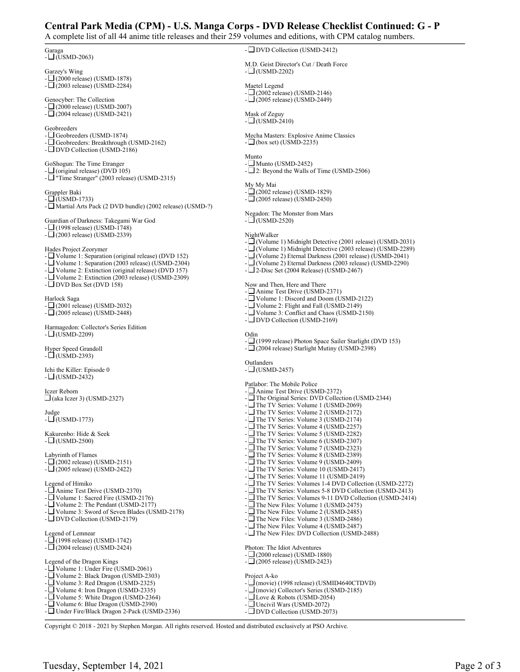## **Central Park Media (CPM) - U.S. Manga Corps - DVD Release Checklist Continued: G - P**

A complete list of all 44 anime title releases and their 259 volumes and editions, with CPM catalog numbers.

Garaga  $- \Box$ (USMD-2063) Garzey's Wing  $- \Box$ (2000 release) (USMD-1878) - (2003 release) (USMD-2284) Genocyber: The Collection  $-\Box$ (2000 release) (USMD-2007)  $-\Box$ (2004 release) (USMD-2421) Geobreeders - Geobreeders (USMD-1874) - Geobreeders: Breakthrough (USMD-2162) - DVD Collection (USMD-2186) GoShogun: The Time Etranger -  $\Box$  (original release) (DVD 105) - "Time Stranger" (2003 release) (USMD-2315) Grappler Baki  $-\square$ (USMD-1733) - Martial Arts Pack (2 DVD bundle) (2002 release) (USMD-?) Guardian of Darkness: Takegami War God  $-\Box$  (1998 release) (USMD-1748) - (2003 release) (USMD-2339) Hades Project Zeorymer - Volume 1: Separation (original release) (DVD 152) - Volume 1: Separation (2003 release) (USMD-2304) - Volume 2: Extinction (original release) (DVD 157) - Volume 2: Extinction (2003 release) (USMD-2309)  $-$  DVD Box Set (DVD 158) Harlock Saga - (2001 release) (USMD-2032) - (2005 release) (USMD-2448) Harmagedon: Collector's Series Edition  $-\square$ (USMD-2209) Hyper Speed Grandoll  $- \Box$ (USMD-2393) Ichi the Killer: Episode 0  $-L$  (USMD-2432) Iczer Reborn  $\Box$ (aka Iczer 3) (USMD-2327) Judge - (USMD-1773) Kakurenbo: Hide & Seek  $-\square$ (USMD-2500) Labyrinth of Flames  $\frac{1}{2}$ (2002 release) (USMD-2151) - (2005 release) (USMD-2422) Legend of Himiko -  $\Box$  Anime Test Drive (USMD-2370) - Volume 1: Sacred Fire (USMD-2176) - Volume 2: The Pendant (USMD-2177) - Volume 3: Sword of Seven Blades (USMD-2178) - DVD Collection (USMD-2179) Legend of Lemnear - (1998 release) (USMD-1742) - (2004 release) (USMD-2424) Legend of the Dragon Kings - Volume 1: Under Fire (USMD-2061) - Volume 2: Black Dragon (USMD-2303) - Volume 3: Red Dragon (USMD-2325) - Volume 4: Iron Dragon (USMD-2335) - Volume 5: White Dragon (USMD-2364) - Volume 6: Blue Dragon (USMD-2390) - Under Fire/Black Dragon 2-Pack (USMD-2336) - DVD Collection (USMD-2412) M.D. Geist Director's Cut / Death Force  $-\square$ (USMD-2202) Maetel Legend  $-\square$ (2002 release) (USMD-2146) - (2005 release) (USMD-2449) Mask of Zeguy  $-$  (USMD-2410) Mecha Masters: Explosive Anime Classics  $-\Box$  (box set) (USMD-2235) Munto  $-$  Munto (USMD-2452) - 2: Beyond the Walls of Time (USMD-2506) My My Mai  $-\overline{1}$  (2002 release) (USMD-1829)  $-\square$ (2005 release) (USMD-2450) Negadon: The Monster from Mars  $-$  (USMD-2520) NightWalker - (Volume 1) Midnight Detective (2001 release) (USMD-2031) - (Volume 1) Midnight Detective (2003 release) (USMD-2289) - (Volume 2) Eternal Darkness (2001 release) (USMD-2041) - (Volume 2) Eternal Darkness (2003 release) (USMD-2290)  $-\square$  2-Disc Set (2004 Release) (USMD-2467) Now and Then, Here and There - Anime Test Drive (USMD-2371) - Volume 1: Discord and Doom (USMD-2122) - Volume 2: Flight and Fall (USMD-2149) - Volume 3: Conflict and Chaos (USMD-2150) - DVD Collection (USMD-2169) Odin - (1999 release) Photon Space Sailer Starlight (DVD 153) -  $\Box$ (2004 release) Starlight Mutiny (USMD-2398) **Outlanders**  $-$  (USMD-2457) Patlabor: The Mobile Police - Anime Test Drive (USMD-2372) - The Original Series: DVD Collection (USMD-2344) - The TV Series: Volume 1 (USMD-2069) - The TV Series: Volume 2 (USMD-2172) -  $\Box$  The TV Series: Volume 3 (USMD-2174) -  $\Box$  The TV Series: Volume 4 (USMD-2257) - The TV Series: Volume 5 (USMD-2282) - The TV Series: Volume 6 (USMD-2307) - The TV Series: Volume 7 (USMD-2323) -  $\Box$  The TV Series: Volume 8 (USMD-2389) - The TV Series: Volume 9 (USMD-2409) - The TV Series: Volume 10 (USMD-2417) - The TV Series: Volume 11 (USMD-2419) - The TV Series: Volumes 1-4 DVD Collection (USMD-2272) - The TV Series: Volumes 5-8 DVD Collection (USMD-2413) - The TV Series: Volumes 9-11 DVD Collection (USMD-2414) -  $\Box$  The New Files: Volume 1 (USMD-2475) - The New Files: Volume 2 (USMD-2485) - The New Files: Volume 3 (USMD-2486) -  $\Box$  The New Files: Volume 4 (USMD-2487) - The New Files: DVD Collection (USMD-2488) Photon: The Idiot Adventures - (2000 release) (USMD-1880)  $-\square$  (2005 release) (USMD-2423) Project A-ko - (movie) (1998 release) (USMID4640CTDVD) - (movie) Collector's Series (USMD-2185) - Love & Robots (USMD-2054) - Uncivil Wars (USMD-2072) - DVD Collection (USMD-2073)

Copyright © 2018 - 2021 by Stephen Morgan. All rights reserved. Hosted and distributed exclusively at PSO Archive.